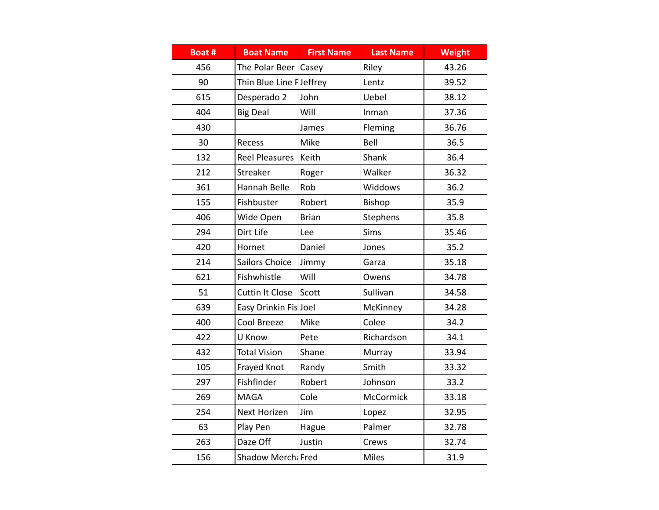| Boat # | <b>Boat Name</b>         | <b>First Name</b> | <b>Last Name</b> | <b>Weight</b> |
|--------|--------------------------|-------------------|------------------|---------------|
| 456    | The Polar Beer           | Casey             | Riley            | 43.26         |
| 90     | Thin Blue Line F Jeffrey |                   | Lentz            | 39.52         |
| 615    | Desperado 2              | John              | Uebel            | 38.12         |
| 404    | <b>Big Deal</b>          | Will              | Inman            | 37.36         |
| 430    |                          | James             | Fleming          | 36.76         |
| 30     | Recess                   | Mike              | Bell             | 36.5          |
| 132    | <b>Reel Pleasures</b>    | Keith             | Shank            | 36.4          |
| 212    | Streaker                 | Roger             | Walker           | 36.32         |
| 361    | Hannah Belle             | Rob               | Widdows          | 36.2          |
| 155    | Fishbuster               | Robert            | Bishop           | 35.9          |
| 406    | Wide Open                | <b>Brian</b>      | Stephens         | 35.8          |
| 294    | Dirt Life                | Lee               | Sims             | 35.46         |
| 420    | Hornet                   | Daniel            | Jones            | 35.2          |
| 214    | Sailors Choice           | Jimmy             | Garza            | 35.18         |
| 621    | Fishwhistle              | Will              | Owens            | 34.78         |
| 51     | <b>Cuttin It Close</b>   | Scott             | Sullivan         | 34.58         |
| 639    | Easy Drinkin Fis Joel    |                   | McKinney         | 34.28         |
| 400    | Cool Breeze              | Mike              | Colee            | 34.2          |
| 422    | U Know                   | Pete              | Richardson       | 34.1          |
| 432    | <b>Total Vision</b>      | Shane             | Murray           | 33.94         |
| 105    | Frayed Knot              | Randy             | Smith            | 33.32         |
| 297    | Fishfinder               | Robert            | Johnson          | 33.2          |
| 269    | <b>MAGA</b>              | Cole              | McCormick        | 33.18         |
| 254    | <b>Next Horizen</b>      | Jim               | Lopez            | 32.95         |
| 63     | Play Pen                 | Hague             | Palmer           | 32.78         |
| 263    | Daze Off                 | Justin            | Crews            | 32.74         |
| 156    | Shadow Merchi Fred       |                   | Miles            | 31.9          |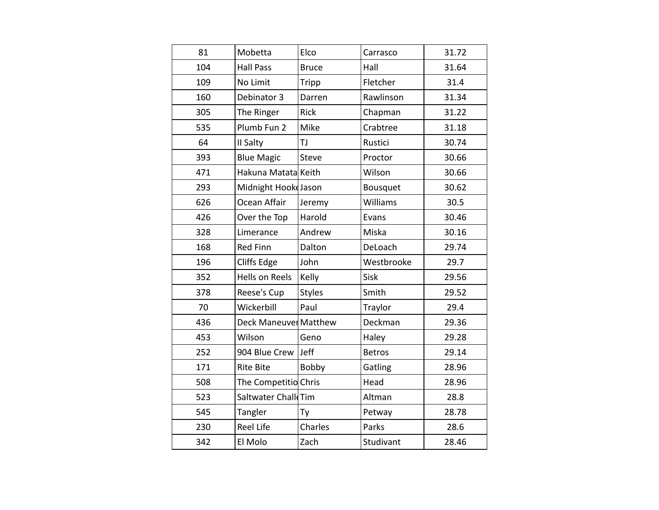| 81<br>Mobetta<br>Elco<br>31.72<br>Carrasco<br>104<br><b>Hall Pass</b><br><b>Bruce</b><br>Hall<br>31.64<br>109<br>No Limit<br>Fletcher<br>31.4<br>Tripp<br>160<br>Debinator 3<br>Rawlinson<br>31.34<br>Darren<br>305<br>The Ringer<br><b>Rick</b><br>Chapman<br>31.22<br>Plumb Fun 2<br>535<br>Mike<br>Crabtree<br>31.18<br>64<br>Rustici<br>II Salty<br>TJ<br>30.74<br>393<br><b>Blue Magic</b><br>30.66<br><b>Steve</b><br>Proctor<br>471<br>Hakuna Matata Keith<br>Wilson<br>30.66<br>293<br>Midnight Hooke Jason<br>30.62<br>Bousquet<br>626<br>Ocean Affair<br>Williams<br>30.5<br>Jeremy<br>426<br>30.46<br>Over the Top<br>Harold<br>Evans<br>328<br>Miska<br>30.16<br>Andrew<br>Limerance<br>168<br><b>Red Finn</b><br>Dalton<br>DeLoach<br>29.74<br>196<br>Cliffs Edge<br>John<br>Westbrooke<br>29.7<br><b>Hells on Reels</b><br>352<br>Kelly<br>Sisk<br>29.56<br>378<br>Reese's Cup<br>Smith<br><b>Styles</b><br>29.52<br>70<br>Wickerbill<br>Paul<br>Traylor<br>29.4<br>436<br>Deckman<br><b>Deck Maneuver Matthew</b><br>29.36<br>453<br>Wilson<br>Geno<br>Haley<br>29.28<br>252<br>Jeff<br>904 Blue Crew<br>29.14<br><b>Betros</b><br>171<br><b>Rite Bite</b><br>Bobby<br>Gatling<br>28.96<br>Head<br>508<br>The Competitio Chris<br>28.96<br>523<br>Saltwater Chall Tim<br>Altman<br>28.8<br>545<br>Tangler<br>28.78<br>Petway<br>Ty<br><b>Reel Life</b><br>Charles<br>Parks<br>230<br>28.6<br>342<br>El Molo<br>Zach<br>Studivant<br>28.46 |  |  |  |
|----------------------------------------------------------------------------------------------------------------------------------------------------------------------------------------------------------------------------------------------------------------------------------------------------------------------------------------------------------------------------------------------------------------------------------------------------------------------------------------------------------------------------------------------------------------------------------------------------------------------------------------------------------------------------------------------------------------------------------------------------------------------------------------------------------------------------------------------------------------------------------------------------------------------------------------------------------------------------------------------------------------------------------------------------------------------------------------------------------------------------------------------------------------------------------------------------------------------------------------------------------------------------------------------------------------------------------------------------------------------------------------------------------------------------------------------------------|--|--|--|
|                                                                                                                                                                                                                                                                                                                                                                                                                                                                                                                                                                                                                                                                                                                                                                                                                                                                                                                                                                                                                                                                                                                                                                                                                                                                                                                                                                                                                                                          |  |  |  |
|                                                                                                                                                                                                                                                                                                                                                                                                                                                                                                                                                                                                                                                                                                                                                                                                                                                                                                                                                                                                                                                                                                                                                                                                                                                                                                                                                                                                                                                          |  |  |  |
|                                                                                                                                                                                                                                                                                                                                                                                                                                                                                                                                                                                                                                                                                                                                                                                                                                                                                                                                                                                                                                                                                                                                                                                                                                                                                                                                                                                                                                                          |  |  |  |
|                                                                                                                                                                                                                                                                                                                                                                                                                                                                                                                                                                                                                                                                                                                                                                                                                                                                                                                                                                                                                                                                                                                                                                                                                                                                                                                                                                                                                                                          |  |  |  |
|                                                                                                                                                                                                                                                                                                                                                                                                                                                                                                                                                                                                                                                                                                                                                                                                                                                                                                                                                                                                                                                                                                                                                                                                                                                                                                                                                                                                                                                          |  |  |  |
|                                                                                                                                                                                                                                                                                                                                                                                                                                                                                                                                                                                                                                                                                                                                                                                                                                                                                                                                                                                                                                                                                                                                                                                                                                                                                                                                                                                                                                                          |  |  |  |
|                                                                                                                                                                                                                                                                                                                                                                                                                                                                                                                                                                                                                                                                                                                                                                                                                                                                                                                                                                                                                                                                                                                                                                                                                                                                                                                                                                                                                                                          |  |  |  |
|                                                                                                                                                                                                                                                                                                                                                                                                                                                                                                                                                                                                                                                                                                                                                                                                                                                                                                                                                                                                                                                                                                                                                                                                                                                                                                                                                                                                                                                          |  |  |  |
|                                                                                                                                                                                                                                                                                                                                                                                                                                                                                                                                                                                                                                                                                                                                                                                                                                                                                                                                                                                                                                                                                                                                                                                                                                                                                                                                                                                                                                                          |  |  |  |
|                                                                                                                                                                                                                                                                                                                                                                                                                                                                                                                                                                                                                                                                                                                                                                                                                                                                                                                                                                                                                                                                                                                                                                                                                                                                                                                                                                                                                                                          |  |  |  |
|                                                                                                                                                                                                                                                                                                                                                                                                                                                                                                                                                                                                                                                                                                                                                                                                                                                                                                                                                                                                                                                                                                                                                                                                                                                                                                                                                                                                                                                          |  |  |  |
|                                                                                                                                                                                                                                                                                                                                                                                                                                                                                                                                                                                                                                                                                                                                                                                                                                                                                                                                                                                                                                                                                                                                                                                                                                                                                                                                                                                                                                                          |  |  |  |
|                                                                                                                                                                                                                                                                                                                                                                                                                                                                                                                                                                                                                                                                                                                                                                                                                                                                                                                                                                                                                                                                                                                                                                                                                                                                                                                                                                                                                                                          |  |  |  |
|                                                                                                                                                                                                                                                                                                                                                                                                                                                                                                                                                                                                                                                                                                                                                                                                                                                                                                                                                                                                                                                                                                                                                                                                                                                                                                                                                                                                                                                          |  |  |  |
|                                                                                                                                                                                                                                                                                                                                                                                                                                                                                                                                                                                                                                                                                                                                                                                                                                                                                                                                                                                                                                                                                                                                                                                                                                                                                                                                                                                                                                                          |  |  |  |
|                                                                                                                                                                                                                                                                                                                                                                                                                                                                                                                                                                                                                                                                                                                                                                                                                                                                                                                                                                                                                                                                                                                                                                                                                                                                                                                                                                                                                                                          |  |  |  |
|                                                                                                                                                                                                                                                                                                                                                                                                                                                                                                                                                                                                                                                                                                                                                                                                                                                                                                                                                                                                                                                                                                                                                                                                                                                                                                                                                                                                                                                          |  |  |  |
|                                                                                                                                                                                                                                                                                                                                                                                                                                                                                                                                                                                                                                                                                                                                                                                                                                                                                                                                                                                                                                                                                                                                                                                                                                                                                                                                                                                                                                                          |  |  |  |
|                                                                                                                                                                                                                                                                                                                                                                                                                                                                                                                                                                                                                                                                                                                                                                                                                                                                                                                                                                                                                                                                                                                                                                                                                                                                                                                                                                                                                                                          |  |  |  |
|                                                                                                                                                                                                                                                                                                                                                                                                                                                                                                                                                                                                                                                                                                                                                                                                                                                                                                                                                                                                                                                                                                                                                                                                                                                                                                                                                                                                                                                          |  |  |  |
|                                                                                                                                                                                                                                                                                                                                                                                                                                                                                                                                                                                                                                                                                                                                                                                                                                                                                                                                                                                                                                                                                                                                                                                                                                                                                                                                                                                                                                                          |  |  |  |
|                                                                                                                                                                                                                                                                                                                                                                                                                                                                                                                                                                                                                                                                                                                                                                                                                                                                                                                                                                                                                                                                                                                                                                                                                                                                                                                                                                                                                                                          |  |  |  |
|                                                                                                                                                                                                                                                                                                                                                                                                                                                                                                                                                                                                                                                                                                                                                                                                                                                                                                                                                                                                                                                                                                                                                                                                                                                                                                                                                                                                                                                          |  |  |  |
|                                                                                                                                                                                                                                                                                                                                                                                                                                                                                                                                                                                                                                                                                                                                                                                                                                                                                                                                                                                                                                                                                                                                                                                                                                                                                                                                                                                                                                                          |  |  |  |
|                                                                                                                                                                                                                                                                                                                                                                                                                                                                                                                                                                                                                                                                                                                                                                                                                                                                                                                                                                                                                                                                                                                                                                                                                                                                                                                                                                                                                                                          |  |  |  |
|                                                                                                                                                                                                                                                                                                                                                                                                                                                                                                                                                                                                                                                                                                                                                                                                                                                                                                                                                                                                                                                                                                                                                                                                                                                                                                                                                                                                                                                          |  |  |  |
|                                                                                                                                                                                                                                                                                                                                                                                                                                                                                                                                                                                                                                                                                                                                                                                                                                                                                                                                                                                                                                                                                                                                                                                                                                                                                                                                                                                                                                                          |  |  |  |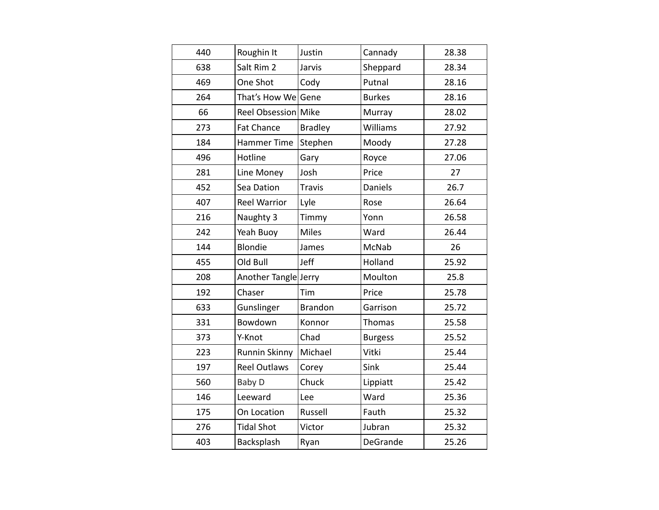| 440 | Roughin It           | Justin         | Cannady        | 28.38 |
|-----|----------------------|----------------|----------------|-------|
| 638 | Salt Rim 2           | Jarvis         | Sheppard       | 28.34 |
| 469 | One Shot             | Cody           | Putnal         | 28.16 |
| 264 | That's How We        | Gene           | <b>Burkes</b>  | 28.16 |
| 66  | Reel Obsession Mike  |                | Murray         | 28.02 |
| 273 | <b>Fat Chance</b>    | <b>Bradley</b> | Williams       | 27.92 |
| 184 | <b>Hammer Time</b>   | Stephen        | Moody          | 27.28 |
| 496 | Hotline              | Gary           | Royce          | 27.06 |
| 281 | Line Money           | Josh           | Price          | 27    |
| 452 | Sea Dation           | <b>Travis</b>  | <b>Daniels</b> | 26.7  |
| 407 | <b>Reel Warrior</b>  | Lyle           | Rose           | 26.64 |
| 216 | Naughty 3            | Timmy          | Yonn           | 26.58 |
| 242 | Yeah Buoy            | <b>Miles</b>   | Ward           | 26.44 |
| 144 | <b>Blondie</b>       | James          | McNab          | 26    |
| 455 | Old Bull             | Jeff           | Holland        | 25.92 |
| 208 | Another Tangle Jerry |                | Moulton        | 25.8  |
| 192 | Chaser               | Tim            | Price          | 25.78 |
| 633 | Gunslinger           | <b>Brandon</b> | Garrison       | 25.72 |
| 331 | Bowdown              | Konnor         | Thomas         | 25.58 |
| 373 | Y-Knot               | Chad           | <b>Burgess</b> | 25.52 |
| 223 | <b>Runnin Skinny</b> | Michael        | Vitki          | 25.44 |
| 197 | <b>Reel Outlaws</b>  | Corey          | Sink           | 25.44 |
| 560 | Baby D               | Chuck          | Lippiatt       | 25.42 |
| 146 | Leeward              | Lee            | Ward           | 25.36 |
| 175 | On Location          | Russell        | Fauth          | 25.32 |
| 276 | <b>Tidal Shot</b>    | Victor         | Jubran         | 25.32 |
| 403 | Backsplash           | Ryan           | DeGrande       | 25.26 |
|     |                      |                |                |       |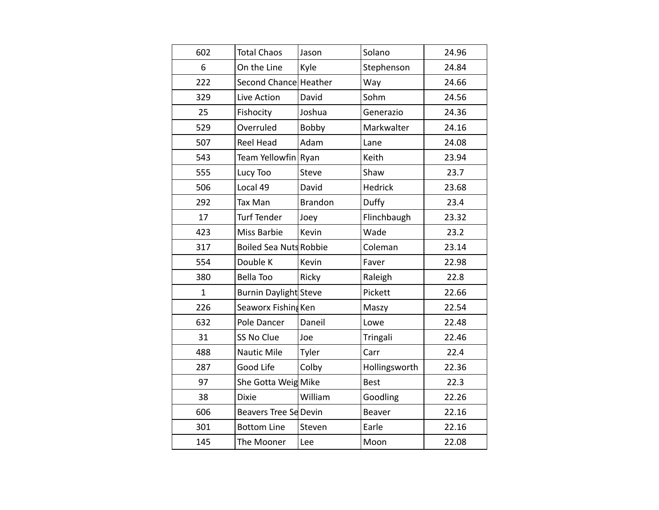| 602          | <b>Total Chaos</b>            | Jason          | Solano        | 24.96 |
|--------------|-------------------------------|----------------|---------------|-------|
| 6            | On the Line                   | Kyle           | Stephenson    | 24.84 |
| 222          | Second Chance Heather         |                | Way           | 24.66 |
| 329          | Live Action                   | David          | Sohm          | 24.56 |
| 25           | Fishocity                     | Joshua         | Generazio     | 24.36 |
| 529          | Overruled                     | Bobby          | Markwalter    | 24.16 |
| 507          | <b>Reel Head</b>              | Adam           | Lane          | 24.08 |
| 543          | Team Yellowfin                | Ryan           | Keith         | 23.94 |
| 555          | Lucy Too                      | Steve          | Shaw          | 23.7  |
| 506          | Local 49                      | David          | Hedrick       | 23.68 |
| 292          | Tax Man                       | <b>Brandon</b> | Duffy         | 23.4  |
| 17           | <b>Turf Tender</b>            | Joey           | Flinchbaugh   | 23.32 |
| 423          | Miss Barbie                   | Kevin          | Wade          | 23.2  |
| 317          | <b>Boiled Sea Nuts Robbie</b> |                | Coleman       | 23.14 |
| 554          | Double K                      | Kevin          | Faver         | 22.98 |
| 380          | <b>Bella Too</b>              | Ricky          | Raleigh       | 22.8  |
| $\mathbf{1}$ | <b>Burnin Daylight Steve</b>  |                | Pickett       | 22.66 |
| 226          | Seaworx Fishing Ken           |                | Maszy         | 22.54 |
| 632          | Pole Dancer                   | Daneil         | Lowe          | 22.48 |
| 31           | SS No Clue                    | Joe            | Tringali      | 22.46 |
| 488          | Nautic Mile                   | Tyler          | Carr          | 22.4  |
| 287          | Good Life                     | Colby          | Hollingsworth | 22.36 |
| 97           | She Gotta Weig Mike           |                | <b>Best</b>   | 22.3  |
| 38           | <b>Dixie</b>                  | William        | Goodling      | 22.26 |
| 606          | Beavers Tree Se Devin         |                | Beaver        | 22.16 |
| 301          | <b>Bottom Line</b>            | Steven         | Earle         | 22.16 |
| 145          | The Mooner                    | Lee            | Moon          | 22.08 |
|              |                               |                |               |       |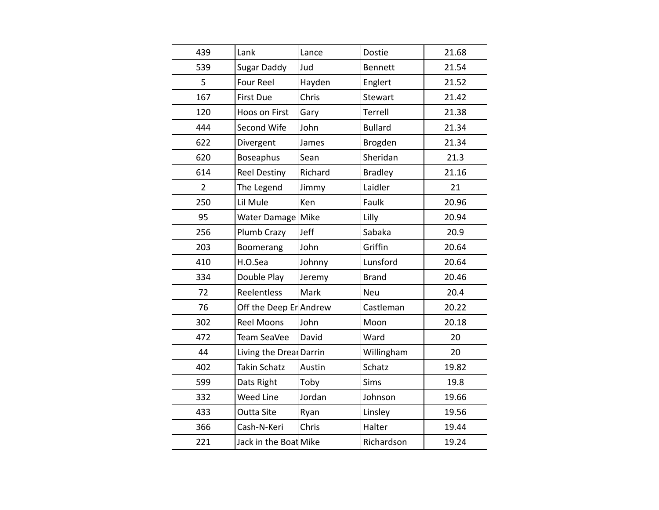| 439            | Lank                    | Lance   | Dostie         | 21.68 |
|----------------|-------------------------|---------|----------------|-------|
| 539            | <b>Sugar Daddy</b>      | Jud     | Bennett        | 21.54 |
| 5              | <b>Four Reel</b>        | Hayden  | Englert        | 21.52 |
| 167            | <b>First Due</b>        | Chris   | Stewart        | 21.42 |
| 120            | Hoos on First           | Gary    | Terrell        | 21.38 |
| 444            | Second Wife             | John    | <b>Bullard</b> | 21.34 |
| 622            | Divergent               | James   | Brogden        | 21.34 |
| 620            | Boseaphus               | Sean    | Sheridan       | 21.3  |
| 614            | <b>Reel Destiny</b>     | Richard | <b>Bradley</b> | 21.16 |
| $\overline{2}$ | The Legend              | Jimmy   | Laidler        | 21    |
| 250            | Lil Mule                | Ken     | Faulk          | 20.96 |
| 95             | <b>Water Damage</b>     | Mike    | Lilly          | 20.94 |
| 256            | Plumb Crazy             | Jeff    | Sabaka         | 20.9  |
| 203            | Boomerang               | John    | Griffin        | 20.64 |
| 410            | H.O.Sea                 | Johnny  | Lunsford       | 20.64 |
| 334            | Double Play             | Jeremy  | <b>Brand</b>   | 20.46 |
| 72             | Reelentless             | Mark    | Neu            | 20.4  |
| 76             | Off the Deep En Andrew  |         | Castleman      | 20.22 |
| 302            | <b>Reel Moons</b>       | John    | Moon           | 20.18 |
| 472            | Team SeaVee             | David   | Ward           | 20    |
| 44             | Living the Dreal Darrin |         | Willingham     | 20    |
| 402            | <b>Takin Schatz</b>     | Austin  | Schatz         | 19.82 |
| 599            | Dats Right              | Toby    | <b>Sims</b>    | 19.8  |
| 332            | Weed Line               | Jordan  | Johnson        | 19.66 |
| 433            | <b>Outta Site</b>       | Ryan    | Linsley        | 19.56 |
| 366            | Cash-N-Keri             | Chris   | Halter         | 19.44 |
| 221            | Jack in the Boat Mike   |         | Richardson     | 19.24 |
|                |                         |         |                |       |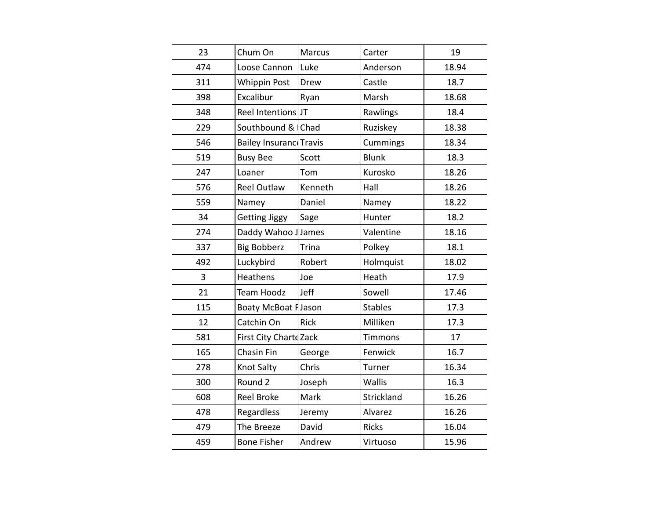| 23  | Chum On                 | Marcus        | Carter         | 19    |
|-----|-------------------------|---------------|----------------|-------|
| 474 | Loose Cannon            | Luke          | Anderson       | 18.94 |
| 311 | <b>Whippin Post</b>     | Drew          | Castle         | 18.7  |
| 398 | Excalibur               | Ryan          | Marsh          | 18.68 |
| 348 | Reel Intentions JT      |               | Rawlings       | 18.4  |
| 229 | Southbound &            | Chad          | Ruziskey       | 18.38 |
| 546 | <b>Bailey Insurance</b> | <b>Travis</b> | Cummings       | 18.34 |
| 519 | <b>Busy Bee</b>         | Scott         | <b>Blunk</b>   | 18.3  |
| 247 | Loaner                  | Tom           | Kurosko        | 18.26 |
| 576 | <b>Reel Outlaw</b>      | Kenneth       | Hall           | 18.26 |
| 559 | Namey                   | Daniel        | Namey          | 18.22 |
| 34  | <b>Getting Jiggy</b>    | Sage          | Hunter         | 18.2  |
| 274 | Daddy Wahoo J James     |               | Valentine      | 18.16 |
| 337 | <b>Big Bobberz</b>      | Trina         | Polkey         | 18.1  |
| 492 | Luckybird               | Robert        | Holmquist      | 18.02 |
| 3   | <b>Heathens</b>         | Joe           | Heath          | 17.9  |
| 21  | <b>Team Hoodz</b>       | Jeff          | Sowell         | 17.46 |
| 115 | Boaty McBoat Flason     |               | <b>Stables</b> | 17.3  |
| 12  | Catchin On              | <b>Rick</b>   | Milliken       | 17.3  |
| 581 | First City Charte Zack  |               | <b>Timmons</b> | 17    |
| 165 | Chasin Fin              | George        | Fenwick        | 16.7  |
| 278 | Knot Salty              | Chris         | Turner         | 16.34 |
| 300 | Round 2                 | Joseph        | Wallis         | 16.3  |
| 608 | <b>Reel Broke</b>       | Mark          | Strickland     | 16.26 |
| 478 | <b>Regardless</b>       | Jeremy        | Alvarez        | 16.26 |
| 479 | The Breeze              | David         | <b>Ricks</b>   | 16.04 |
| 459 | <b>Bone Fisher</b>      | Andrew        | Virtuoso       | 15.96 |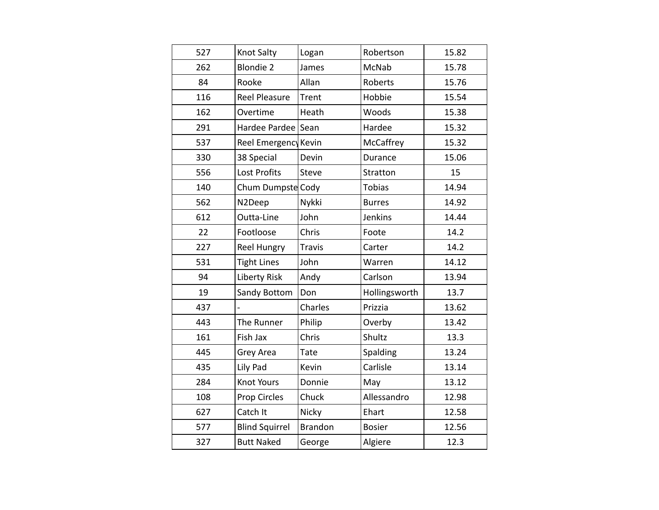| 527 | Knot Salty            | Logan          | Robertson     | 15.82 |
|-----|-----------------------|----------------|---------------|-------|
| 262 | <b>Blondie 2</b>      | James          | McNab         | 15.78 |
| 84  | Rooke                 | Allan          | Roberts       | 15.76 |
| 116 | <b>Reel Pleasure</b>  | Trent          | Hobbie        | 15.54 |
| 162 | Overtime              | Heath          | Woods         | 15.38 |
| 291 | Hardee Pardee         | Sean           | Hardee        | 15.32 |
| 537 | Reel Emergency        | Kevin          | McCaffrey     | 15.32 |
| 330 | 38 Special            | Devin          | Durance       | 15.06 |
| 556 | <b>Lost Profits</b>   | <b>Steve</b>   | Stratton      | 15    |
| 140 | Chum Dumpste          | Cody           | <b>Tobias</b> | 14.94 |
| 562 | N2Deep                | Nykki          | <b>Burres</b> | 14.92 |
| 612 | Outta-Line            | John           | Jenkins       | 14.44 |
| 22  | Footloose             | Chris          | Foote         | 14.2  |
| 227 | <b>Reel Hungry</b>    | <b>Travis</b>  | Carter        | 14.2  |
| 531 | <b>Tight Lines</b>    | John           | Warren        | 14.12 |
| 94  | <b>Liberty Risk</b>   | Andy           | Carlson       | 13.94 |
| 19  | Sandy Bottom          | Don            | Hollingsworth | 13.7  |
| 437 |                       | Charles        | Prizzia       | 13.62 |
| 443 | The Runner            | Philip         | Overby        | 13.42 |
| 161 | Fish Jax              | Chris          | Shultz        | 13.3  |
| 445 | Grey Area             | <b>Tate</b>    | Spalding      | 13.24 |
| 435 | Lily Pad              | Kevin          | Carlisle      | 13.14 |
| 284 | Knot Yours            | Donnie         | May           | 13.12 |
| 108 | Prop Circles          | Chuck          | Allessandro   | 12.98 |
| 627 | Catch It              | Nicky          | Ehart         | 12.58 |
| 577 | <b>Blind Squirrel</b> | <b>Brandon</b> | <b>Bosier</b> | 12.56 |
| 327 | <b>Butt Naked</b>     | George         | Algiere       | 12.3  |
|     |                       |                |               |       |